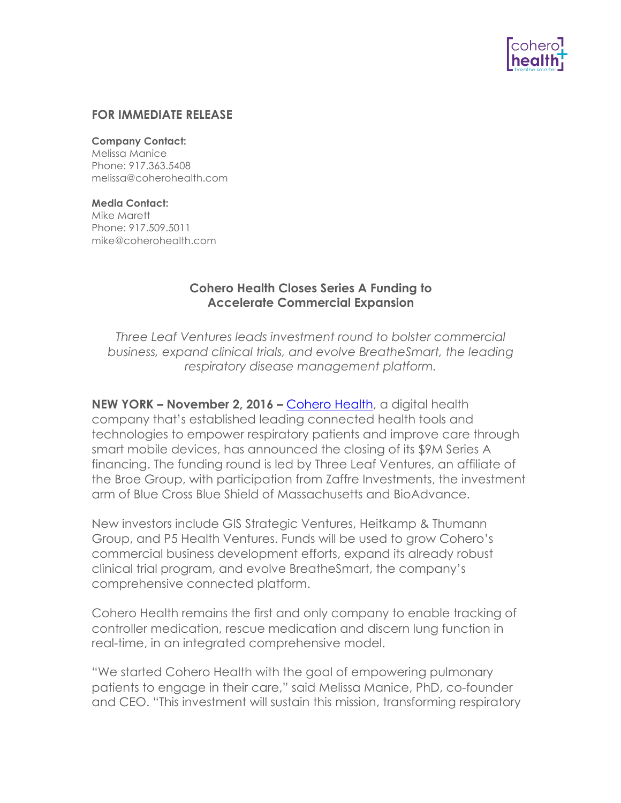

### **FOR IMMEDIATE RELEASE**

#### **Company Contact:**

Melissa Manice Phone: 917.363.5408 melissa@coherohealth.com

### **Media Contact:**

Mike Marett Phone: 917.509.5011 mike@coherohealth.com

# **Cohero Health Closes Series A Funding to Accelerate Commercial Expansion**

*Three Leaf Ventures leads investment round to bolster commercial business, expand clinical trials, and evolve BreatheSmart, the leading respiratory disease management platform.*

**NEW YORK – November 2, 2016 –** Cohero Health, a digital health company that's established leading connected health tools and technologies to empower respiratory patients and improve care through smart mobile devices, has announced the closing of its \$9M Series A financing. The funding round is led by Three Leaf Ventures, an affiliate of the Broe Group, with participation from Zaffre Investments, the investment arm of Blue Cross Blue Shield of Massachusetts and BioAdvance.

New investors include GIS Strategic Ventures, Heitkamp & Thumann Group, and P5 Health Ventures. Funds will be used to grow Cohero's commercial business development efforts, expand its already robust clinical trial program, and evolve BreatheSmart, the company's comprehensive connected platform.

Cohero Health remains the first and only company to enable tracking of controller medication, rescue medication and discern lung function in real-time, in an integrated comprehensive model.

"We started Cohero Health with the goal of empowering pulmonary patients to engage in their care," said Melissa Manice, PhD, co-founder and CEO. "This investment will sustain this mission, transforming respiratory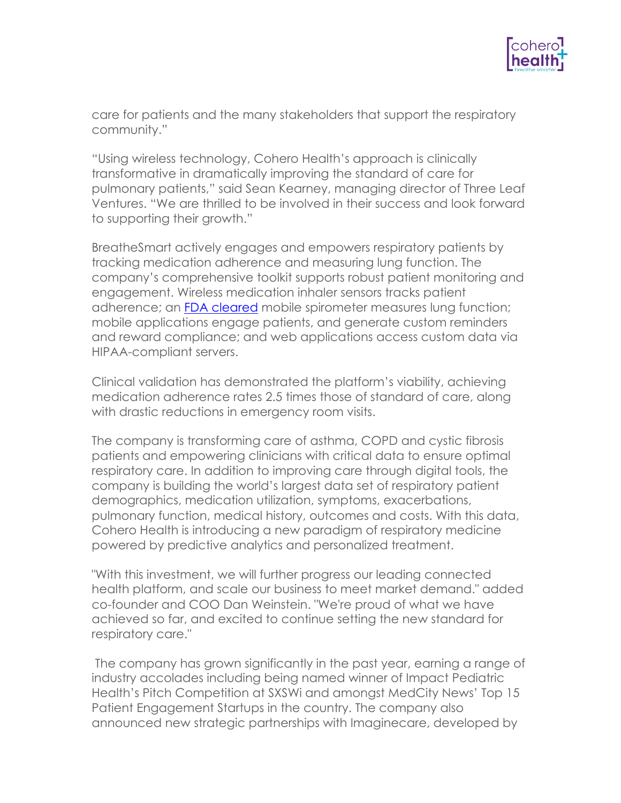

care for patients and the many stakeholders that support the respiratory community."

"Using wireless technology, Cohero Health's approach is clinically transformative in dramatically improving the standard of care for pulmonary patients," said Sean Kearney, managing director of Three Leaf Ventures. "We are thrilled to be involved in their success and look forward to supporting their growth."

BreatheSmart actively engages and empowers respiratory patients by tracking medication adherence and measuring lung function. The company's comprehensive toolkit supports robust patient monitoring and engagement. Wireless medication inhaler sensors tracks patient adherence; an FDA cleared mobile spirometer measures lung function; mobile applications engage patients, and generate custom reminders and reward compliance; and web applications access custom data via HIPAA-compliant servers.

Clinical validation has demonstrated the platform's viability, achieving medication adherence rates 2.5 times those of standard of care, along with drastic reductions in emergency room visits.

The company is transforming care of asthma, COPD and cystic fibrosis patients and empowering clinicians with critical data to ensure optimal respiratory care. In addition to improving care through digital tools, the company is building the world's largest data set of respiratory patient demographics, medication utilization, symptoms, exacerbations, pulmonary function, medical history, outcomes and costs. With this data, Cohero Health is introducing a new paradigm of respiratory medicine powered by predictive analytics and personalized treatment.

"With this investment, we will further progress our leading connected health platform, and scale our business to meet market demand." added co-founder and COO Dan Weinstein. "We're proud of what we have achieved so far, and excited to continue setting the new standard for respiratory care."

The company has grown significantly in the past year, earning a range of industry accolades including being named winner of Impact Pediatric Health's Pitch Competition at SXSWi and amongst MedCity News' Top 15 Patient Engagement Startups in the country. The company also announced new strategic partnerships with Imaginecare, developed by